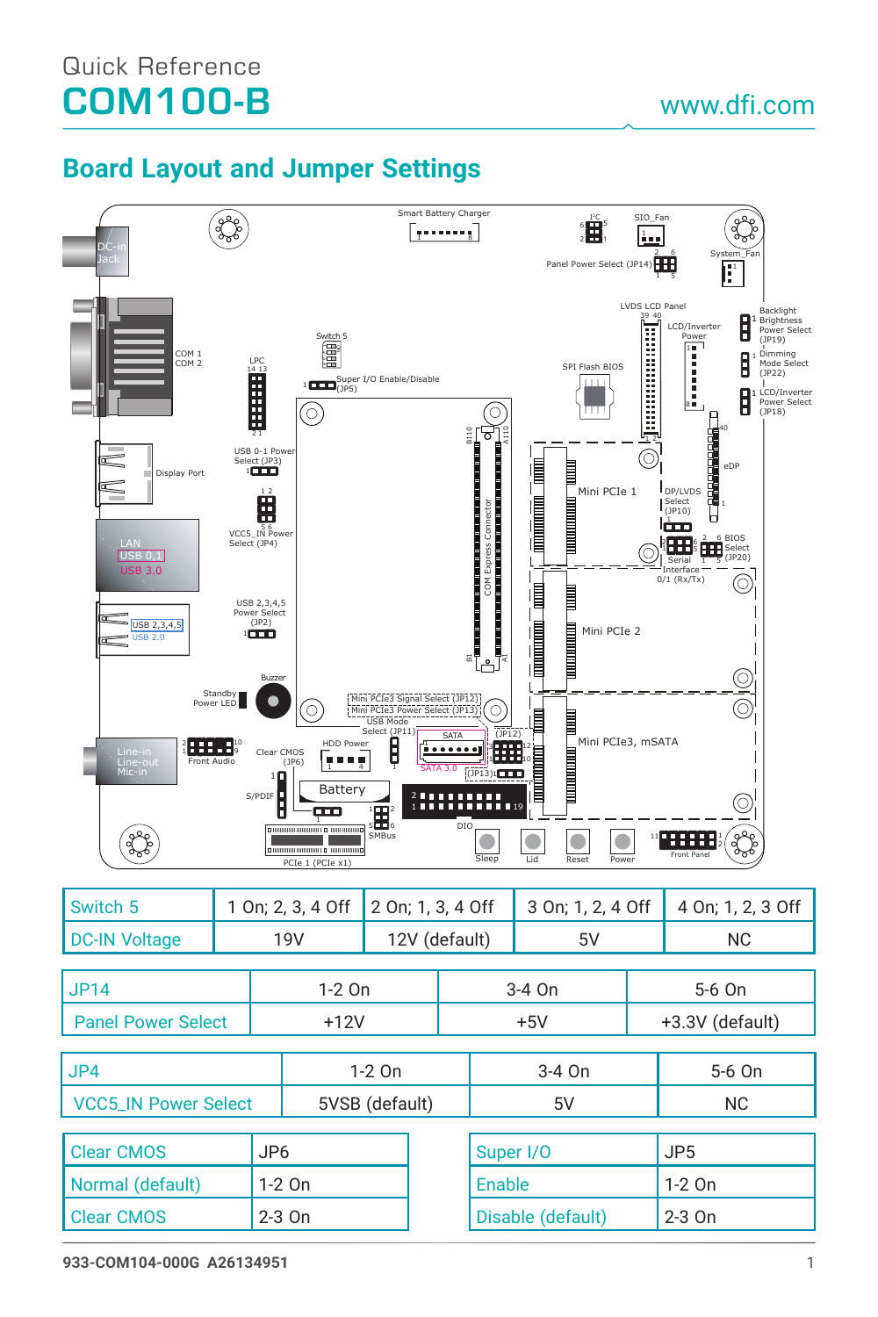## Quick Reference COM100-B

## **Board Layout and Jumper Settings**



| Switch 5                    |                 |  | 1 On; 2, 3, 4 Off |  | 2 On; 1, 3, 4 Off |                   | 3 On; 1, 2, 4 Off |                 | 4 On; 1, 2, 3 Off |
|-----------------------------|-----------------|--|-------------------|--|-------------------|-------------------|-------------------|-----------------|-------------------|
| <b>DC-IN Voltage</b>        | <b>19V</b>      |  | 12V (default)     |  | 5V                |                   | <b>NC</b>         |                 |                   |
|                             |                 |  |                   |  |                   |                   |                   |                 |                   |
| <b>JP14</b>                 |                 |  | 1-2 On            |  |                   |                   | $3-4$ On          |                 | 5-6 On            |
| <b>Panel Power Select</b>   |                 |  | $+12V$            |  |                   | $+5V$             |                   | +3.3V (default) |                   |
|                             |                 |  |                   |  |                   |                   |                   |                 |                   |
| J <sub>P4</sub>             |                 |  | 1-2 On            |  |                   | 3-4 On            |                   |                 | 5-6 On            |
| <b>VCC5 IN Power Select</b> |                 |  | 5VSB (default)    |  |                   | 5V                |                   |                 | <b>NC</b>         |
|                             |                 |  |                   |  |                   |                   |                   |                 |                   |
| <b>Clear CMOS</b>           | JP <sub>6</sub> |  |                   |  |                   | Super I/O         |                   | JP <sub>5</sub> |                   |
| Normal (default)            | $1-2$ On        |  |                   |  | Enable            |                   |                   | $1-2$ On        |                   |
| <b>Clear CMOS</b>           | $2-3$ On        |  |                   |  |                   | Disable (default) |                   | $2-3$ On        |                   |